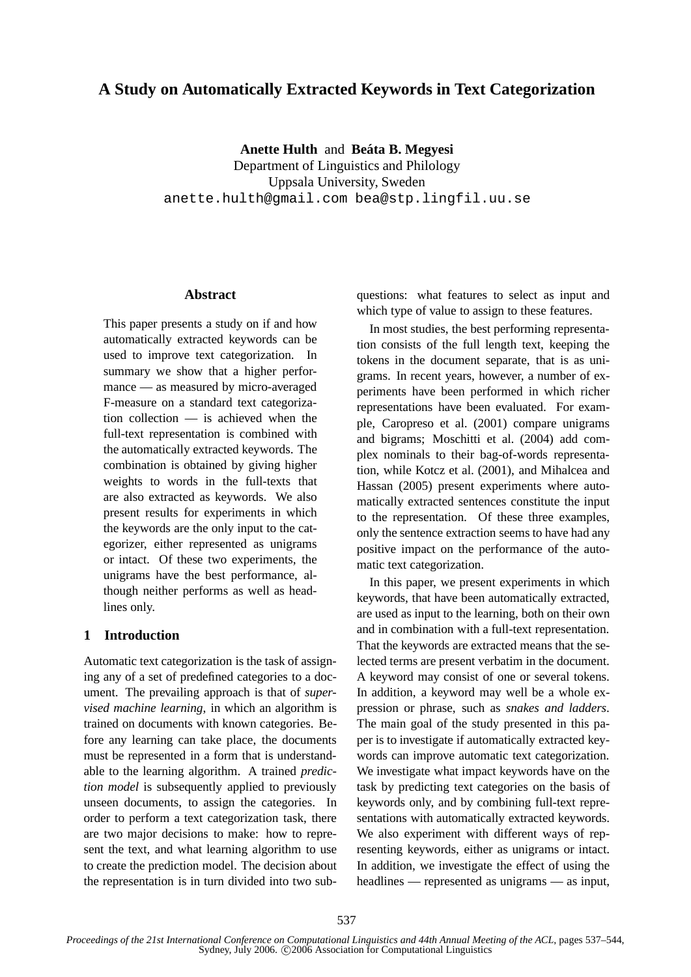# **A Study on Automatically Extracted Keywords in Text Categorization**

**Anette Hulth** and **Beata B. Megyesi ´** Department of Linguistics and Philology Uppsala University, Sweden anette.hulth@gmail.com bea@stp.lingfil.uu.se

#### **Abstract**

This paper presents a study on if and how automatically extracted keywords can be used to improve text categorization. In summary we show that a higher performance — as measured by micro-averaged F-measure on a standard text categorization collection — is achieved when the full-text representation is combined with the automatically extracted keywords. The combination is obtained by giving higher weights to words in the full-texts that are also extracted as keywords. We also present results for experiments in which the keywords are the only input to the categorizer, either represented as unigrams or intact. Of these two experiments, the unigrams have the best performance, although neither performs as well as headlines only.

### **1 Introduction**

Automatic text categorization is the task of assigning any of a set of predefined categories to a document. The prevailing approach is that of *supervised machine learning*, in which an algorithm is trained on documents with known categories. Before any learning can take place, the documents must be represented in a form that is understandable to the learning algorithm. A trained *prediction model* is subsequently applied to previously unseen documents, to assign the categories. In order to perform a text categorization task, there are two major decisions to make: how to represent the text, and what learning algorithm to use to create the prediction model. The decision about the representation is in turn divided into two subquestions: what features to select as input and which type of value to assign to these features.

In most studies, the best performing representation consists of the full length text, keeping the tokens in the document separate, that is as unigrams. In recent years, however, a number of experiments have been performed in which richer representations have been evaluated. For example, Caropreso et al. (2001) compare unigrams and bigrams; Moschitti et al. (2004) add complex nominals to their bag-of-words representation, while Kotcz et al. (2001), and Mihalcea and Hassan (2005) present experiments where automatically extracted sentences constitute the input to the representation. Of these three examples, only the sentence extraction seems to have had any positive impact on the performance of the automatic text categorization.

In this paper, we present experiments in which keywords, that have been automatically extracted, are used as input to the learning, both on their own and in combination with a full-text representation. That the keywords are extracted means that the selected terms are present verbatim in the document. A keyword may consist of one or several tokens. In addition, a keyword may well be a whole expression or phrase, such as *snakes and ladders*. The main goal of the study presented in this paper is to investigate if automatically extracted keywords can improve automatic text categorization. We investigate what impact keywords have on the task by predicting text categories on the basis of keywords only, and by combining full-text representations with automatically extracted keywords. We also experiment with different ways of representing keywords, either as unigrams or intact. In addition, we investigate the effect of using the headlines — represented as unigrams — as input,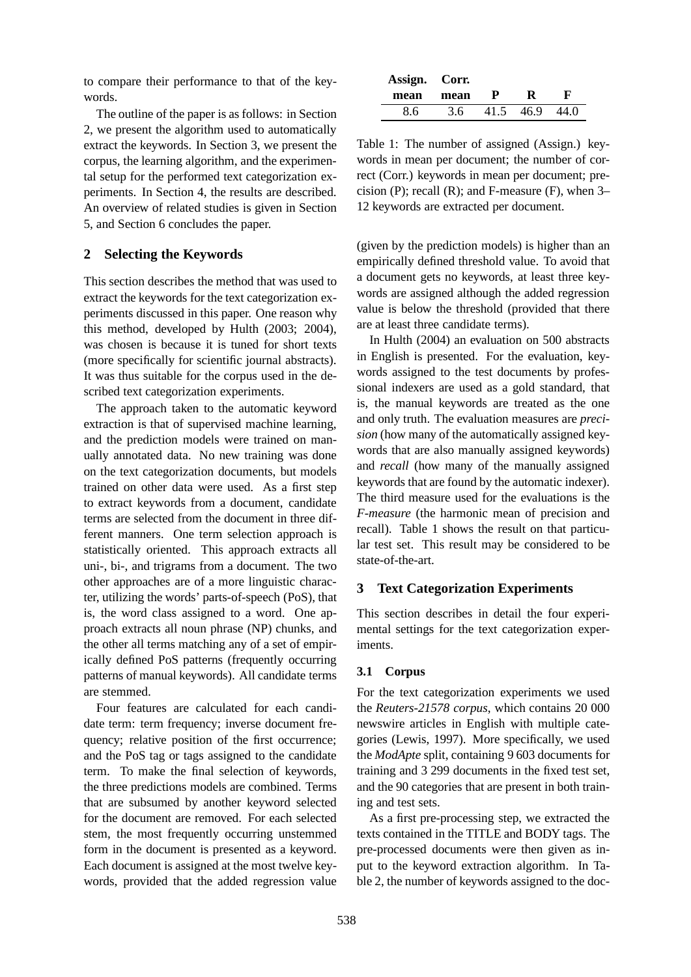to compare their performance to that of the keywords.

The outline of the paper is as follows: in Section 2, we present the algorithm used to automatically extract the keywords. In Section 3, we present the corpus, the learning algorithm, and the experimental setup for the performed text categorization experiments. In Section 4, the results are described. An overview of related studies is given in Section 5, and Section 6 concludes the paper.

### **2 Selecting the Keywords**

This section describes the method that was used to extract the keywords for the text categorization experiments discussed in this paper. One reason why this method, developed by Hulth (2003; 2004), was chosen is because it is tuned for short texts (more specifically for scientific journal abstracts). It was thus suitable for the corpus used in the described text categorization experiments.

The approach taken to the automatic keyword extraction is that of supervised machine learning, and the prediction models were trained on manually annotated data. No new training was done on the text categorization documents, but models trained on other data were used. As a first step to extract keywords from a document, candidate terms are selected from the document in three different manners. One term selection approach is statistically oriented. This approach extracts all uni-, bi-, and trigrams from a document. The two other approaches are of a more linguistic character, utilizing the words' parts-of-speech (PoS), that is, the word class assigned to a word. One approach extracts all noun phrase (NP) chunks, and the other all terms matching any of a set of empirically defined PoS patterns (frequently occurring patterns of manual keywords). All candidate terms are stemmed.

Four features are calculated for each candidate term: term frequency; inverse document frequency; relative position of the first occurrence; and the PoS tag or tags assigned to the candidate term. To make the final selection of keywords, the three predictions models are combined. Terms that are subsumed by another keyword selected for the document are removed. For each selected stem, the most frequently occurring unstemmed form in the document is presented as a keyword. Each document is assigned at the most twelve keywords, provided that the added regression value

| Assign. Corr. |               |              |      |      |
|---------------|---------------|--------------|------|------|
| mean          | mean          | $\mathbf{P}$ | R    | F    |
| 8.6           | $3.6^{\circ}$ | 41.5         | 46.9 | 44.0 |

Table 1: The number of assigned (Assign.) keywords in mean per document; the number of correct (Corr.) keywords in mean per document; precision (P); recall (R); and F-measure (F), when  $3-$ 12 keywords are extracted per document.

(given by the prediction models) is higher than an empirically defined threshold value. To avoid that a document gets no keywords, at least three keywords are assigned although the added regression value is below the threshold (provided that there are at least three candidate terms).

In Hulth (2004) an evaluation on 500 abstracts in English is presented. For the evaluation, keywords assigned to the test documents by professional indexers are used as a gold standard, that is, the manual keywords are treated as the one and only truth. The evaluation measures are *precision* (how many of the automatically assigned keywords that are also manually assigned keywords) and *recall* (how many of the manually assigned keywords that are found by the automatic indexer). The third measure used for the evaluations is the *F-measure* (the harmonic mean of precision and recall). Table 1 shows the result on that particular test set. This result may be considered to be state-of-the-art.

### **3 Text Categorization Experiments**

This section describes in detail the four experimental settings for the text categorization experiments.

#### **3.1 Corpus**

For the text categorization experiments we used the *Reuters-21578 corpus*, which contains 20 000 newswire articles in English with multiple categories (Lewis, 1997). More specifically, we used the *ModApte* split, containing 9 603 documents for training and 3 299 documents in the fixed test set, and the 90 categories that are present in both training and test sets.

As a first pre-processing step, we extracted the texts contained in the TITLE and BODY tags. The pre-processed documents were then given as input to the keyword extraction algorithm. In Table 2, the number of keywords assigned to the doc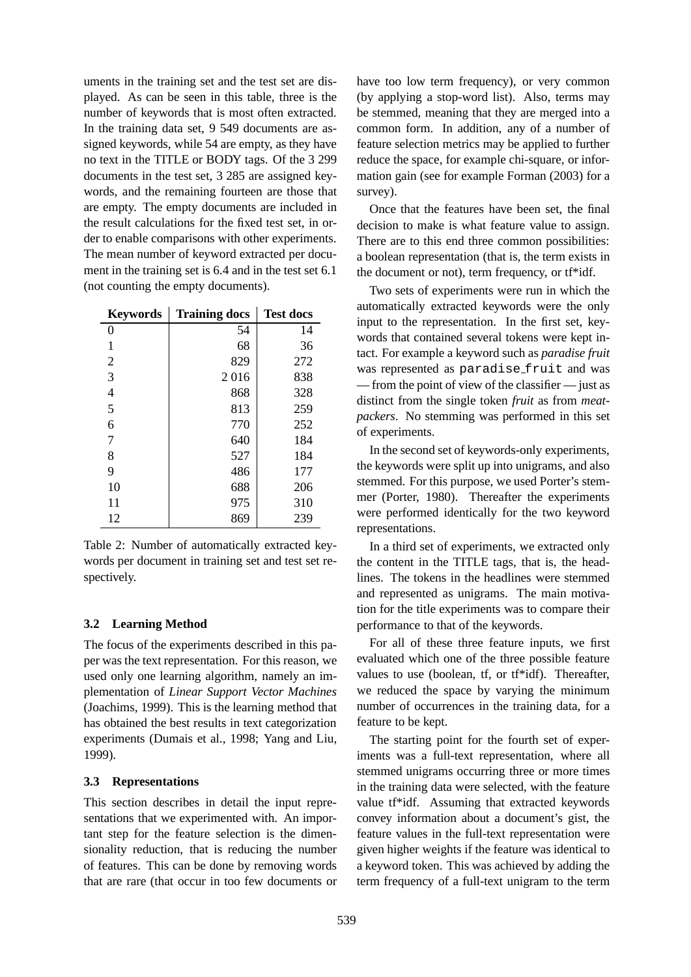uments in the training set and the test set are displayed. As can be seen in this table, three is the number of keywords that is most often extracted. In the training data set, 9 549 documents are assigned keywords, while 54 are empty, as they have no text in the TITLE or BODY tags. Of the 3 299 documents in the test set, 3 285 are assigned keywords, and the remaining fourteen are those that are empty. The empty documents are included in the result calculations for the fixed test set, in order to enable comparisons with other experiments. The mean number of keyword extracted per document in the training set is 6.4 and in the test set 6.1 (not counting the empty documents).

| <b>Keywords</b> | <b>Training docs</b> | <b>Test docs</b> |  |
|-----------------|----------------------|------------------|--|
| 0               | 54                   | 14               |  |
| 1               | 68                   | 36               |  |
| $\overline{2}$  | 829                  | 272              |  |
| 3               | 2016                 | 838              |  |
| 4               | 868                  | 328              |  |
| 5               | 813                  | 259              |  |
| 6               | 770                  | 252              |  |
| 7               | 640                  | 184              |  |
| 8               | 527                  | 184              |  |
| 9               | 486                  | 177              |  |
| 10              | 688                  | 206              |  |
| 11              | 975                  | 310              |  |
| 12              | 869                  | 239              |  |

Table 2: Number of automatically extracted keywords per document in training set and test set respectively.

### **3.2 Learning Method**

The focus of the experiments described in this paper was the text representation. For this reason, we used only one learning algorithm, namely an implementation of *Linear Support Vector Machines* (Joachims, 1999). This is the learning method that has obtained the best results in text categorization experiments (Dumais et al., 1998; Yang and Liu, 1999).

#### **3.3 Representations**

This section describes in detail the input representations that we experimented with. An important step for the feature selection is the dimensionality reduction, that is reducing the number of features. This can be done by removing words that are rare (that occur in too few documents or have too low term frequency), or very common (by applying a stop-word list). Also, terms may be stemmed, meaning that they are merged into a common form. In addition, any of a number of feature selection metrics may be applied to further reduce the space, for example chi-square, or information gain (see for example Forman (2003) for a survey).

Once that the features have been set, the final decision to make is what feature value to assign. There are to this end three common possibilities: a boolean representation (that is, the term exists in the document or not), term frequency, or tf\*idf.

Two sets of experiments were run in which the automatically extracted keywords were the only input to the representation. In the first set, keywords that contained several tokens were kept intact. For example a keyword such as *paradise fruit* was represented as paradise fruit and was — from the point of view of the classifier — just as distinct from the single token *fruit* as from *meatpackers*. No stemming was performed in this set of experiments.

In the second set of keywords-only experiments, the keywords were split up into unigrams, and also stemmed. For this purpose, we used Porter's stemmer (Porter, 1980). Thereafter the experiments were performed identically for the two keyword representations.

In a third set of experiments, we extracted only the content in the TITLE tags, that is, the headlines. The tokens in the headlines were stemmed and represented as unigrams. The main motivation for the title experiments was to compare their performance to that of the keywords.

For all of these three feature inputs, we first evaluated which one of the three possible feature values to use (boolean, tf, or tf\*idf). Thereafter, we reduced the space by varying the minimum number of occurrences in the training data, for a feature to be kept.

The starting point for the fourth set of experiments was a full-text representation, where all stemmed unigrams occurring three or more times in the training data were selected, with the feature value tf\*idf. Assuming that extracted keywords convey information about a document's gist, the feature values in the full-text representation were given higher weights if the feature was identical to a keyword token. This was achieved by adding the term frequency of a full-text unigram to the term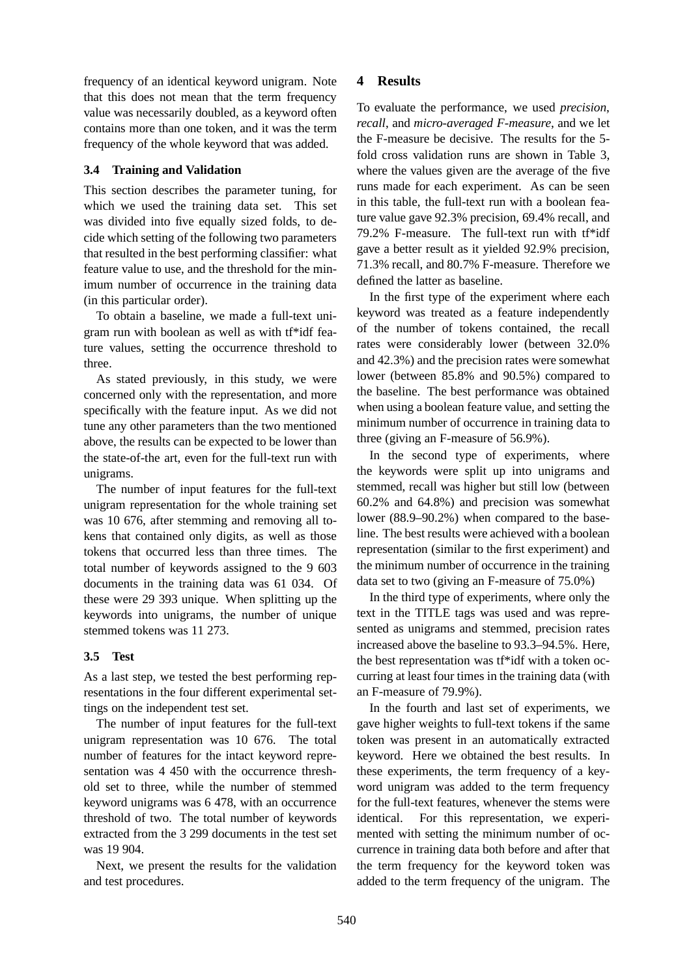frequency of an identical keyword unigram. Note that this does not mean that the term frequency value was necessarily doubled, as a keyword often contains more than one token, and it was the term frequency of the whole keyword that was added.

### **3.4 Training and Validation**

This section describes the parameter tuning, for which we used the training data set. This set was divided into five equally sized folds, to decide which setting of the following two parameters that resulted in the best performing classifier: what feature value to use, and the threshold for the minimum number of occurrence in the training data (in this particular order).

To obtain a baseline, we made a full-text unigram run with boolean as well as with tf\*idf feature values, setting the occurrence threshold to three.

As stated previously, in this study, we were concerned only with the representation, and more specifically with the feature input. As we did not tune any other parameters than the two mentioned above, the results can be expected to be lower than the state-of-the art, even for the full-text run with unigrams.

The number of input features for the full-text unigram representation for the whole training set was 10 676, after stemming and removing all tokens that contained only digits, as well as those tokens that occurred less than three times. The total number of keywords assigned to the 9 603 documents in the training data was 61 034. Of these were 29 393 unique. When splitting up the keywords into unigrams, the number of unique stemmed tokens was 11 273.

# **3.5 Test**

As a last step, we tested the best performing representations in the four different experimental settings on the independent test set.

The number of input features for the full-text unigram representation was 10 676. The total number of features for the intact keyword representation was 4 450 with the occurrence threshold set to three, while the number of stemmed keyword unigrams was 6 478, with an occurrence threshold of two. The total number of keywords extracted from the 3 299 documents in the test set was 19 904.

Next, we present the results for the validation and test procedures.

# **4 Results**

To evaluate the performance, we used *precision*, *recall*, and *micro-averaged F-measure*, and we let the F-measure be decisive. The results for the 5 fold cross validation runs are shown in Table 3, where the values given are the average of the five runs made for each experiment. As can be seen in this table, the full-text run with a boolean feature value gave 92.3% precision, 69.4% recall, and 79.2% F-measure. The full-text run with tf\*idf gave a better result as it yielded 92.9% precision, 71.3% recall, and 80.7% F-measure. Therefore we defined the latter as baseline.

In the first type of the experiment where each keyword was treated as a feature independently of the number of tokens contained, the recall rates were considerably lower (between 32.0% and 42.3%) and the precision rates were somewhat lower (between 85.8% and 90.5%) compared to the baseline. The best performance was obtained when using a boolean feature value, and setting the minimum number of occurrence in training data to three (giving an F-measure of 56.9%).

In the second type of experiments, where the keywords were split up into unigrams and stemmed, recall was higher but still low (between 60.2% and 64.8%) and precision was somewhat lower (88.9–90.2%) when compared to the baseline. The best results were achieved with a boolean representation (similar to the first experiment) and the minimum number of occurrence in the training data set to two (giving an F-measure of 75.0%)

In the third type of experiments, where only the text in the TITLE tags was used and was represented as unigrams and stemmed, precision rates increased above the baseline to 93.3–94.5%. Here, the best representation was tf\*idf with a token occurring at least four times in the training data (with an F-measure of 79.9%).

In the fourth and last set of experiments, we gave higher weights to full-text tokens if the same token was present in an automatically extracted keyword. Here we obtained the best results. In these experiments, the term frequency of a keyword unigram was added to the term frequency for the full-text features, whenever the stems were identical. For this representation, we experimented with setting the minimum number of occurrence in training data both before and after that the term frequency for the keyword token was added to the term frequency of the unigram. The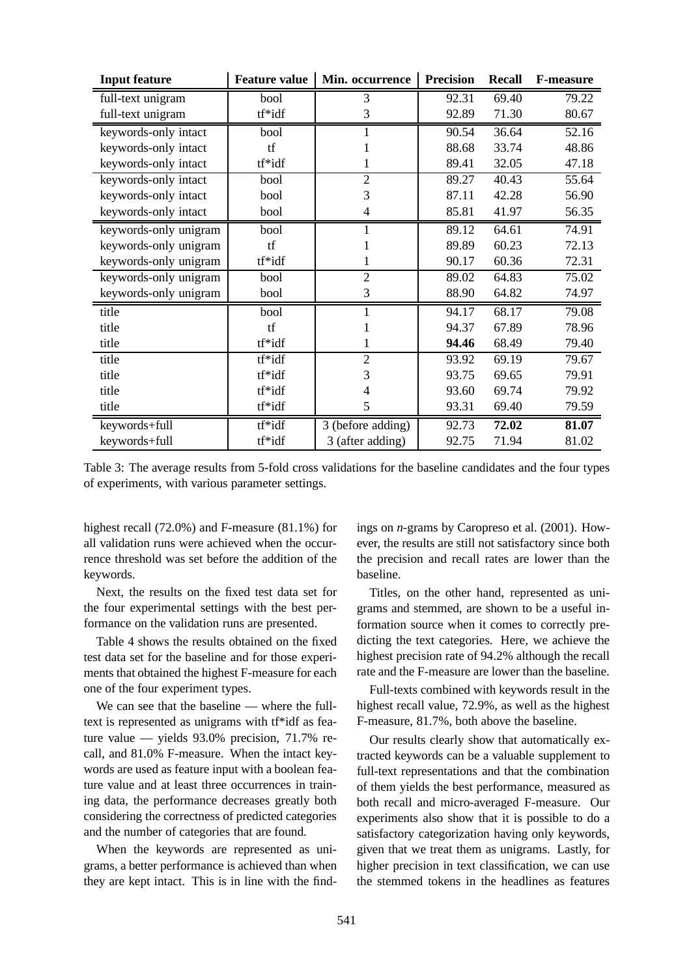| <b>Input feature</b>  | <b>Feature value</b> | Min. occurrence   | <b>Precision</b> | <b>Recall</b> | <b>F-measure</b> |
|-----------------------|----------------------|-------------------|------------------|---------------|------------------|
| full-text unigram     | bool                 | 3                 | 92.31            | 69.40         | 79.22            |
| full-text unigram     | tf*idf               | 3                 | 92.89            | 71.30         | 80.67            |
| keywords-only intact  | bool                 |                   | 90.54            | 36.64         | 52.16            |
| keywords-only intact  | tf                   |                   | 88.68            | 33.74         | 48.86            |
| keywords-only intact  | tf*idf               | 1                 | 89.41            | 32.05         | 47.18            |
| keywords-only intact  | bool                 | $\overline{2}$    | 89.27            | 40.43         | 55.64            |
| keywords-only intact  | bool                 | 3                 | 87.11            | 42.28         | 56.90            |
| keywords-only intact  | bool                 | 4                 | 85.81            | 41.97         | 56.35            |
| keywords-only unigram | bool                 | 1                 | 89.12            | 64.61         | 74.91            |
| keywords-only unigram | tf                   |                   | 89.89            | 60.23         | 72.13            |
| keywords-only unigram | tf*idf               | 1                 | 90.17            | 60.36         | 72.31            |
| keywords-only unigram | bool                 | $\overline{2}$    | 89.02            | 64.83         | 75.02            |
| keywords-only unigram | bool                 | 3                 | 88.90            | 64.82         | 74.97            |
| title                 | bool                 | 1                 | 94.17            | 68.17         | 79.08            |
| title                 | tf                   |                   | 94.37            | 67.89         | 78.96            |
| title                 | tf*idf               | 1                 | 94.46            | 68.49         | 79.40            |
| title                 | tf*idf               | $\overline{2}$    | 93.92            | 69.19         | 79.67            |
| title                 | tf*idf               | 3                 | 93.75            | 69.65         | 79.91            |
| title                 | tf*idf               | 4                 | 93.60            | 69.74         | 79.92            |
| title                 | tf*idf               | 5                 | 93.31            | 69.40         | 79.59            |
| keywords+full         | tf*idf               | 3 (before adding) | 92.73            | 72.02         | 81.07            |
| keywords+full         | tf*idf               | 3 (after adding)  | 92.75            | 71.94         | 81.02            |

Table 3: The average results from 5-fold cross validations for the baseline candidates and the four types of experiments, with various parameter settings.

highest recall (72.0%) and F-measure (81.1%) for all validation runs were achieved when the occurrence threshold was set before the addition of the keywords.

Next, the results on the fixed test data set for the four experimental settings with the best performance on the validation runs are presented.

Table 4 shows the results obtained on the fixed test data set for the baseline and for those experiments that obtained the highest F-measure for each one of the four experiment types.

We can see that the baseline — where the fulltext is represented as unigrams with tf\*idf as feature value — yields 93.0% precision, 71.7% recall, and 81.0% F-measure. When the intact keywords are used as feature input with a boolean feature value and at least three occurrences in training data, the performance decreases greatly both considering the correctness of predicted categories and the number of categories that are found.

When the keywords are represented as unigrams, a better performance is achieved than when they are kept intact. This is in line with the findings on *n*-grams by Caropreso et al. (2001). However, the results are still not satisfactory since both the precision and recall rates are lower than the baseline.

Titles, on the other hand, represented as unigrams and stemmed, are shown to be a useful information source when it comes to correctly predicting the text categories. Here, we achieve the highest precision rate of 94.2% although the recall rate and the F-measure are lower than the baseline.

Full-texts combined with keywords result in the highest recall value, 72.9%, as well as the highest F-measure, 81.7%, both above the baseline.

Our results clearly show that automatically extracted keywords can be a valuable supplement to full-text representations and that the combination of them yields the best performance, measured as both recall and micro-averaged F-measure. Our experiments also show that it is possible to do a satisfactory categorization having only keywords, given that we treat them as unigrams. Lastly, for higher precision in text classification, we can use the stemmed tokens in the headlines as features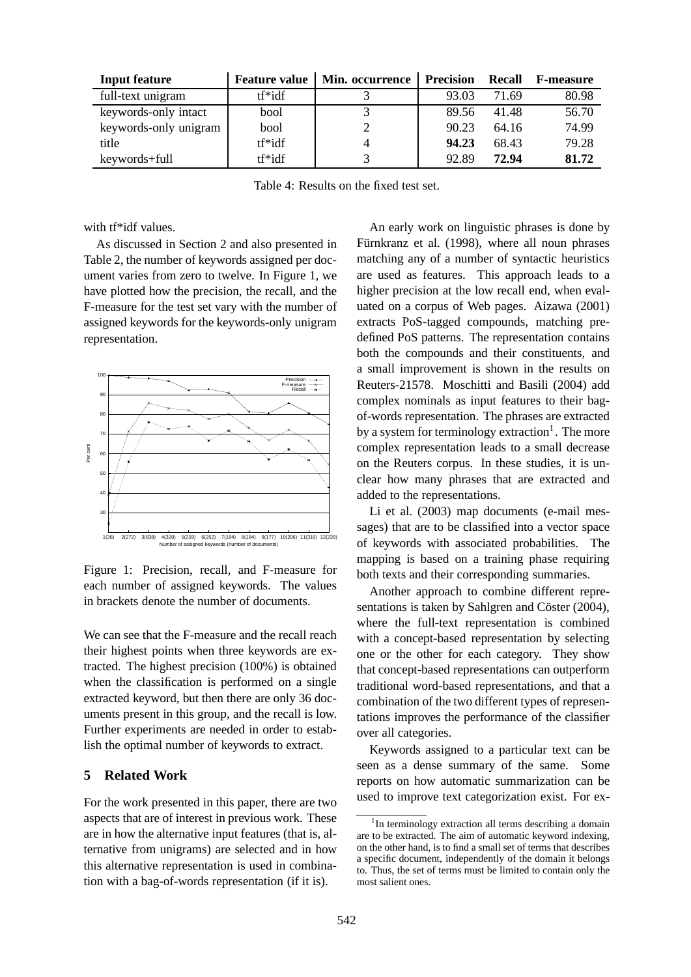| <b>Input feature</b>  | <b>Feature value</b> | Min. occurrence | <b>Precision</b> | <b>Recall</b> | <b>F-measure</b> |
|-----------------------|----------------------|-----------------|------------------|---------------|------------------|
| full-text unigram     | $tf*idf$             |                 | 93.03            | 71.69         | 80.98            |
| keywords-only intact  | bool                 |                 | 89.56            | 41.48         | 56.70            |
| keywords-only unigram | bool                 |                 | 90.23            | 64.16         | 74.99            |
| title                 | $tf*idf$             |                 | 94.23            | 68.43         | 79.28            |
| keywords+full         | $tf*idf$             |                 | 92.89            | 72.94         | 81.72            |

Table 4: Results on the fixed test set.

with tf\*idf values.

As discussed in Section 2 and also presented in Table 2, the number of keywords assigned per document varies from zero to twelve. In Figure 1, we have plotted how the precision, the recall, and the F-measure for the test set vary with the number of assigned keywords for the keywords-only unigram representation.



Figure 1: Precision, recall, and F-measure for each number of assigned keywords. The values in brackets denote the number of documents.

We can see that the F-measure and the recall reach their highest points when three keywords are extracted. The highest precision (100%) is obtained when the classification is performed on a single extracted keyword, but then there are only 36 documents present in this group, and the recall is low. Further experiments are needed in order to establish the optimal number of keywords to extract.

### **5 Related Work**

For the work presented in this paper, there are two aspects that are of interest in previous work. These are in how the alternative input features (that is, alternative from unigrams) are selected and in how this alternative representation is used in combination with a bag-of-words representation (if it is).

An early work on linguistic phrases is done by Fürnkranz et al. (1998), where all noun phrases matching any of a number of syntactic heuristics are used as features. This approach leads to a higher precision at the low recall end, when evaluated on a corpus of Web pages. Aizawa (2001) extracts PoS-tagged compounds, matching predefined PoS patterns. The representation contains both the compounds and their constituents, and a small improvement is shown in the results on Reuters-21578. Moschitti and Basili (2004) add complex nominals as input features to their bagof-words representation. The phrases are extracted by a system for terminology extraction<sup>1</sup>. The more complex representation leads to a small decrease on the Reuters corpus. In these studies, it is unclear how many phrases that are extracted and added to the representations.

Li et al. (2003) map documents (e-mail messages) that are to be classified into a vector space of keywords with associated probabilities. The mapping is based on a training phase requiring both texts and their corresponding summaries.

Another approach to combine different representations is taken by Sahlgren and Cöster (2004), where the full-text representation is combined with a concept-based representation by selecting one or the other for each category. They show that concept-based representations can outperform traditional word-based representations, and that a combination of the two different types of representations improves the performance of the classifier over all categories.

Keywords assigned to a particular text can be seen as a dense summary of the same. Some reports on how automatic summarization can be used to improve text categorization exist. For ex-

<sup>&</sup>lt;sup>1</sup>In terminology extraction all terms describing a domain are to be extracted. The aim of automatic keyword indexing, on the other hand, is to find a small set of terms that describes a specific document, independently of the domain it belongs to. Thus, the set of terms must be limited to contain only the most salient ones.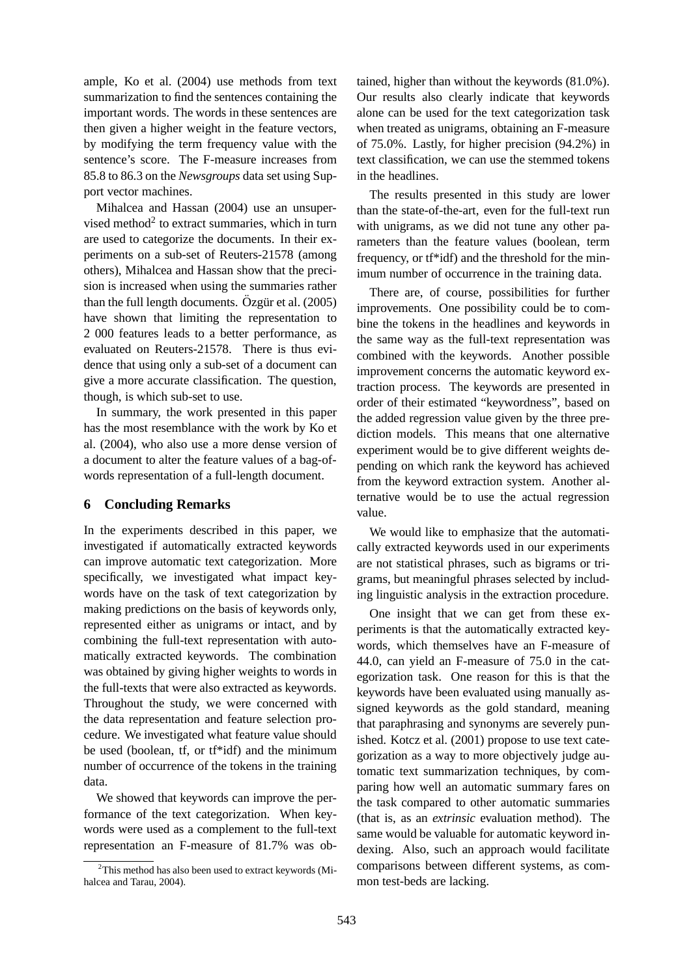ample, Ko et al. (2004) use methods from text summarization to find the sentences containing the important words. The words in these sentences are then given a higher weight in the feature vectors, by modifying the term frequency value with the sentence's score. The F-measure increases from 85.8 to 86.3 on the *Newsgroups* data set using Support vector machines.

Mihalcea and Hassan (2004) use an unsupervised method<sup>2</sup> to extract summaries, which in turn are used to categorize the documents. In their experiments on a sub-set of Reuters-21578 (among others), Mihalcea and Hassan show that the precision is increased when using the summaries rather than the full length documents. Özgür et al.  $(2005)$ have shown that limiting the representation to 2 000 features leads to a better performance, as evaluated on Reuters-21578. There is thus evidence that using only a sub-set of a document can give a more accurate classification. The question, though, is which sub-set to use.

In summary, the work presented in this paper has the most resemblance with the work by Ko et al. (2004), who also use a more dense version of a document to alter the feature values of a bag-ofwords representation of a full-length document.

#### **6 Concluding Remarks**

In the experiments described in this paper, we investigated if automatically extracted keywords can improve automatic text categorization. More specifically, we investigated what impact keywords have on the task of text categorization by making predictions on the basis of keywords only, represented either as unigrams or intact, and by combining the full-text representation with automatically extracted keywords. The combination was obtained by giving higher weights to words in the full-texts that were also extracted as keywords. Throughout the study, we were concerned with the data representation and feature selection procedure. We investigated what feature value should be used (boolean, tf, or tf\*idf) and the minimum number of occurrence of the tokens in the training data.

We showed that keywords can improve the performance of the text categorization. When keywords were used as a complement to the full-text representation an F-measure of 81.7% was obtained, higher than without the keywords (81.0%). Our results also clearly indicate that keywords alone can be used for the text categorization task when treated as unigrams, obtaining an F-measure of 75.0%. Lastly, for higher precision (94.2%) in text classification, we can use the stemmed tokens in the headlines.

The results presented in this study are lower than the state-of-the-art, even for the full-text run with unigrams, as we did not tune any other parameters than the feature values (boolean, term frequency, or tf\*idf) and the threshold for the minimum number of occurrence in the training data.

There are, of course, possibilities for further improvements. One possibility could be to combine the tokens in the headlines and keywords in the same way as the full-text representation was combined with the keywords. Another possible improvement concerns the automatic keyword extraction process. The keywords are presented in order of their estimated "keywordness", based on the added regression value given by the three prediction models. This means that one alternative experiment would be to give different weights depending on which rank the keyword has achieved from the keyword extraction system. Another alternative would be to use the actual regression value.

We would like to emphasize that the automatically extracted keywords used in our experiments are not statistical phrases, such as bigrams or trigrams, but meaningful phrases selected by including linguistic analysis in the extraction procedure.

One insight that we can get from these experiments is that the automatically extracted keywords, which themselves have an F-measure of 44.0, can yield an F-measure of 75.0 in the categorization task. One reason for this is that the keywords have been evaluated using manually assigned keywords as the gold standard, meaning that paraphrasing and synonyms are severely punished. Kotcz et al. (2001) propose to use text categorization as a way to more objectively judge automatic text summarization techniques, by comparing how well an automatic summary fares on the task compared to other automatic summaries (that is, as an *extrinsic* evaluation method). The same would be valuable for automatic keyword indexing. Also, such an approach would facilitate comparisons between different systems, as common test-beds are lacking.

 $2$ This method has also been used to extract keywords (Mihalcea and Tarau, 2004).